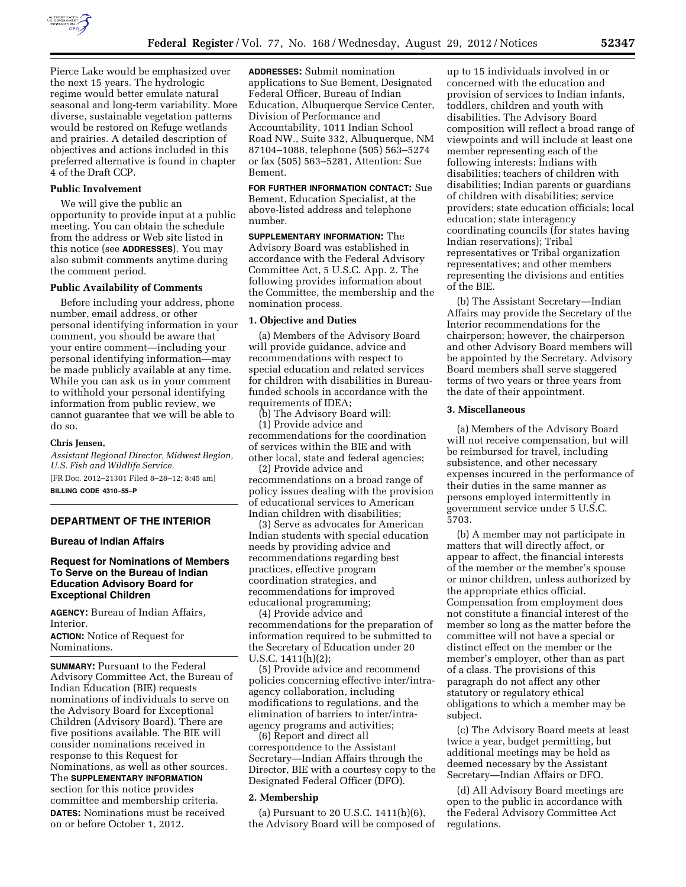

Pierce Lake would be emphasized over the next 15 years. The hydrologic regime would better emulate natural seasonal and long-term variability. More diverse, sustainable vegetation patterns would be restored on Refuge wetlands and prairies. A detailed description of objectives and actions included in this preferred alternative is found in chapter 4 of the Draft CCP.

### **Public Involvement**

We will give the public an opportunity to provide input at a public meeting. You can obtain the schedule from the address or Web site listed in this notice (see **ADDRESSES**). You may also submit comments anytime during the comment period.

## **Public Availability of Comments**

Before including your address, phone number, email address, or other personal identifying information in your comment, you should be aware that your entire comment—including your personal identifying information—may be made publicly available at any time. While you can ask us in your comment to withhold your personal identifying information from public review, we cannot guarantee that we will be able to do so.

### **Chris Jensen,**

*Assistant Regional Director, Midwest Region, U.S. Fish and Wildlife Service.*  [FR Doc. 2012–21301 Filed 8–28–12; 8:45 am] **BILLING CODE 4310–55–P** 

## **DEPARTMENT OF THE INTERIOR**

## **Bureau of Indian Affairs**

## **Request for Nominations of Members To Serve on the Bureau of Indian Education Advisory Board for Exceptional Children**

**AGENCY:** Bureau of Indian Affairs, Interior.

**ACTION:** Notice of Request for Nominations.

**SUMMARY: Pursuant to the Federal** Advisory Committee Act, the Bureau of Indian Education (BIE) requests nominations of individuals to serve on the Advisory Board for Exceptional Children (Advisory Board). There are five positions available. The BIE will consider nominations received in response to this Request for Nominations, as well as other sources. The **SUPPLEMENTARY INFORMATION** section for this notice provides committee and membership criteria. **DATES:** Nominations must be received on or before October 1, 2012.

**ADDRESSES:** Submit nomination applications to Sue Bement, Designated Federal Officer, Bureau of Indian Education, Albuquerque Service Center, Division of Performance and Accountability, 1011 Indian School Road NW., Suite 332, Albuquerque, NM 87104–1088, telephone (505) 563–5274 or fax (505) 563–5281, Attention: Sue Bement.

# **FOR FURTHER INFORMATION CONTACT:** Sue

Bement, Education Specialist, at the above-listed address and telephone number.

**SUPPLEMENTARY INFORMATION:** The Advisory Board was established in accordance with the Federal Advisory Committee Act, 5 U.S.C. App. 2. The following provides information about the Committee, the membership and the nomination process.

#### **1. Objective and Duties**

(a) Members of the Advisory Board will provide guidance, advice and recommendations with respect to special education and related services for children with disabilities in Bureaufunded schools in accordance with the requirements of IDEA;

(b) The Advisory Board will: (1) Provide advice and recommendations for the coordination of services within the BIE and with other local, state and federal agencies;

(2) Provide advice and recommendations on a broad range of policy issues dealing with the provision of educational services to American Indian children with disabilities;

(3) Serve as advocates for American Indian students with special education needs by providing advice and recommendations regarding best practices, effective program coordination strategies, and recommendations for improved educational programming;

(4) Provide advice and recommendations for the preparation of information required to be submitted to the Secretary of Education under 20 U.S.C. 1411(h)(2);

(5) Provide advice and recommend policies concerning effective inter/intraagency collaboration, including modifications to regulations, and the elimination of barriers to inter/intraagency programs and activities;

(6) Report and direct all correspondence to the Assistant Secretary—Indian Affairs through the Director, BIE with a courtesy copy to the Designated Federal Officer (DFO).

### **2. Membership**

(a) Pursuant to 20 U.S.C. 1411(h)(6), the Advisory Board will be composed of

up to 15 individuals involved in or concerned with the education and provision of services to Indian infants, toddlers, children and youth with disabilities. The Advisory Board composition will reflect a broad range of viewpoints and will include at least one member representing each of the following interests: Indians with disabilities; teachers of children with disabilities; Indian parents or guardians of children with disabilities; service providers; state education officials; local education; state interagency coordinating councils (for states having Indian reservations); Tribal representatives or Tribal organization representatives; and other members representing the divisions and entities of the BIE.

(b) The Assistant Secretary—Indian Affairs may provide the Secretary of the Interior recommendations for the chairperson; however, the chairperson and other Advisory Board members will be appointed by the Secretary. Advisory Board members shall serve staggered terms of two years or three years from the date of their appointment.

#### **3. Miscellaneous**

(a) Members of the Advisory Board will not receive compensation, but will be reimbursed for travel, including subsistence, and other necessary expenses incurred in the performance of their duties in the same manner as persons employed intermittently in government service under 5 U.S.C. 5703.

(b) A member may not participate in matters that will directly affect, or appear to affect, the financial interests of the member or the member's spouse or minor children, unless authorized by the appropriate ethics official. Compensation from employment does not constitute a financial interest of the member so long as the matter before the committee will not have a special or distinct effect on the member or the member's employer, other than as part of a class. The provisions of this paragraph do not affect any other statutory or regulatory ethical obligations to which a member may be subject.

(c) The Advisory Board meets at least twice a year, budget permitting, but additional meetings may be held as deemed necessary by the Assistant Secretary—Indian Affairs or DFO.

(d) All Advisory Board meetings are open to the public in accordance with the Federal Advisory Committee Act regulations.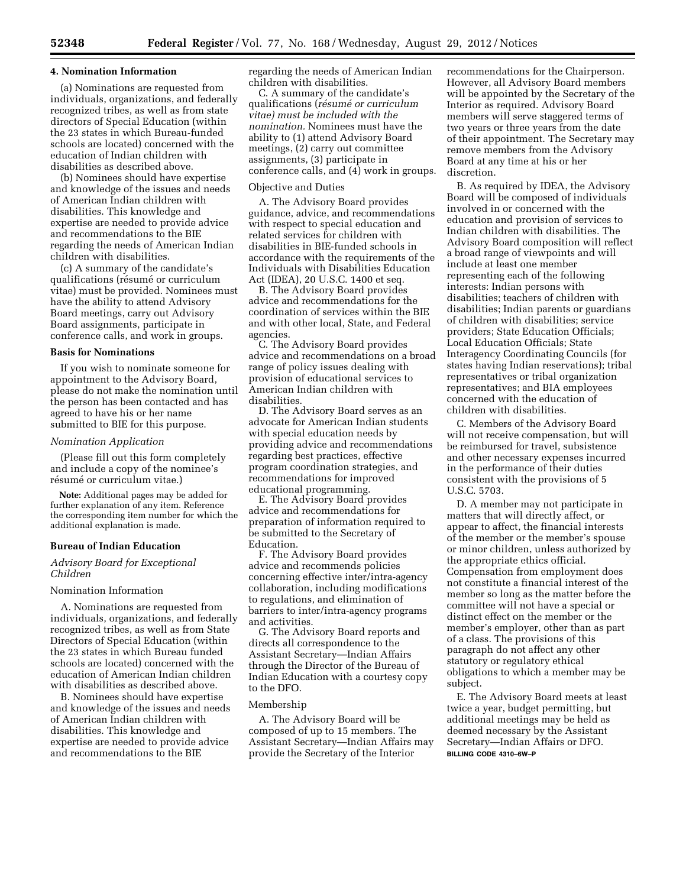#### **4. Nomination Information**

(a) Nominations are requested from individuals, organizations, and federally recognized tribes, as well as from state directors of Special Education (within the 23 states in which Bureau-funded schools are located) concerned with the education of Indian children with disabilities as described above.

(b) Nominees should have expertise and knowledge of the issues and needs of American Indian children with disabilities. This knowledge and expertise are needed to provide advice and recommendations to the BIE regarding the needs of American Indian children with disabilities.

(c) A summary of the candidate's qualifications (résumé or curriculum vitae) must be provided. Nominees must have the ability to attend Advisory Board meetings, carry out Advisory Board assignments, participate in conference calls, and work in groups.

## **Basis for Nominations**

If you wish to nominate someone for appointment to the Advisory Board, please do not make the nomination until the person has been contacted and has agreed to have his or her name submitted to BIE for this purpose.

#### *Nomination Application*

(Please fill out this form completely and include a copy of the nominee's résumé or curriculum vitae.)

**Note:** Additional pages may be added for further explanation of any item. Reference the corresponding item number for which the additional explanation is made.

#### **Bureau of Indian Education**

## *Advisory Board for Exceptional Children*

#### Nomination Information

A. Nominations are requested from individuals, organizations, and federally recognized tribes, as well as from State Directors of Special Education (within the 23 states in which Bureau funded schools are located) concerned with the education of American Indian children with disabilities as described above.

B. Nominees should have expertise and knowledge of the issues and needs of American Indian children with disabilities. This knowledge and expertise are needed to provide advice and recommendations to the BIE

regarding the needs of American Indian children with disabilities.

C. A summary of the candidate's qualifications (*re´sume´ or curriculum vitae) must be included with the nomination.* Nominees must have the ability to (1) attend Advisory Board meetings, (2) carry out committee assignments, (3) participate in conference calls, and (4) work in groups.

#### Objective and Duties

A. The Advisory Board provides guidance, advice, and recommendations with respect to special education and related services for children with disabilities in BIE-funded schools in accordance with the requirements of the Individuals with Disabilities Education Act (IDEA), 20 U.S.C. 1400 et seq.

B. The Advisory Board provides advice and recommendations for the coordination of services within the BIE and with other local, State, and Federal agencies.

C. The Advisory Board provides advice and recommendations on a broad range of policy issues dealing with provision of educational services to American Indian children with disabilities.

D. The Advisory Board serves as an advocate for American Indian students with special education needs by providing advice and recommendations regarding best practices, effective program coordination strategies, and recommendations for improved educational programming.

E. The Advisory Board provides advice and recommendations for preparation of information required to be submitted to the Secretary of Education.

F. The Advisory Board provides advice and recommends policies concerning effective inter/intra-agency collaboration, including modifications to regulations, and elimination of barriers to inter/intra-agency programs and activities.

G. The Advisory Board reports and directs all correspondence to the Assistant Secretary—Indian Affairs through the Director of the Bureau of Indian Education with a courtesy copy to the DFO.

#### Membership

A. The Advisory Board will be composed of up to 15 members. The Assistant Secretary—Indian Affairs may provide the Secretary of the Interior

recommendations for the Chairperson. However, all Advisory Board members will be appointed by the Secretary of the Interior as required. Advisory Board members will serve staggered terms of two years or three years from the date of their appointment. The Secretary may remove members from the Advisory Board at any time at his or her discretion.

B. As required by IDEA, the Advisory Board will be composed of individuals involved in or concerned with the education and provision of services to Indian children with disabilities. The Advisory Board composition will reflect a broad range of viewpoints and will include at least one member representing each of the following interests: Indian persons with disabilities; teachers of children with disabilities; Indian parents or guardians of children with disabilities; service providers; State Education Officials; Local Education Officials; State Interagency Coordinating Councils (for states having Indian reservations); tribal representatives or tribal organization representatives; and BIA employees concerned with the education of children with disabilities.

C. Members of the Advisory Board will not receive compensation, but will be reimbursed for travel, subsistence and other necessary expenses incurred in the performance of their duties consistent with the provisions of 5 U.S.C. 5703.

D. A member may not participate in matters that will directly affect, or appear to affect, the financial interests of the member or the member's spouse or minor children, unless authorized by the appropriate ethics official. Compensation from employment does not constitute a financial interest of the member so long as the matter before the committee will not have a special or distinct effect on the member or the member's employer, other than as part of a class. The provisions of this paragraph do not affect any other statutory or regulatory ethical obligations to which a member may be subject.

E. The Advisory Board meets at least twice a year, budget permitting, but additional meetings may be held as deemed necessary by the Assistant Secretary—Indian Affairs or DFO. **BILLING CODE 4310–6W–P**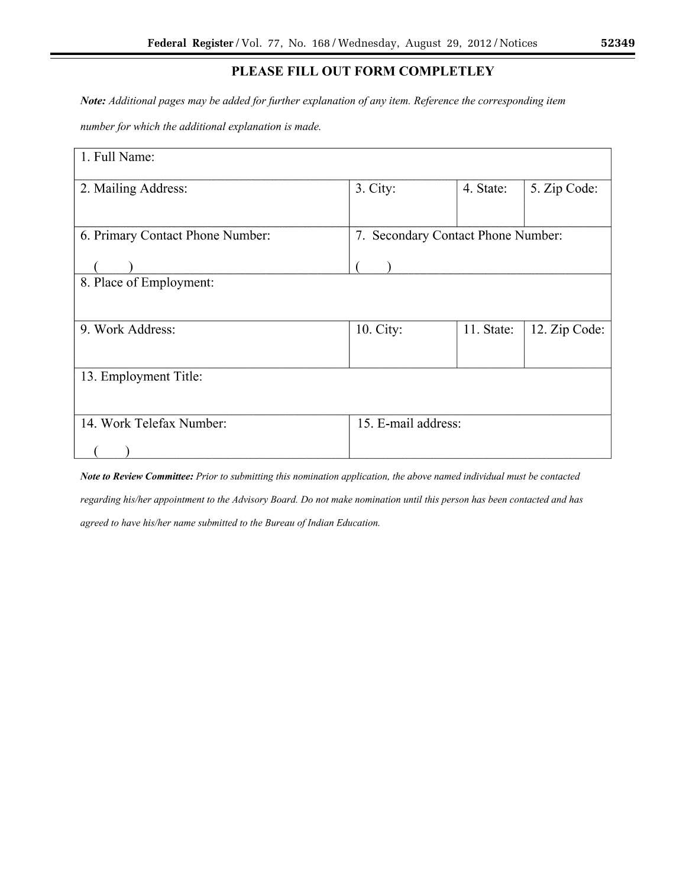# PLEASE FILL OUT FORM COMPLETLEY

Note: Additional pages may be added for further explanation of any item. Reference the corresponding item

number for which the additional explanation is made.

| 1. Full Name:                    |                                    |            |               |  |
|----------------------------------|------------------------------------|------------|---------------|--|
| 2. Mailing Address:              | 3. City:                           | 4. State:  | 5. Zip Code:  |  |
| 6. Primary Contact Phone Number: | 7. Secondary Contact Phone Number: |            |               |  |
| 8. Place of Employment:          |                                    |            |               |  |
| 9. Work Address:                 | 10. City:                          | 11. State: | 12. Zip Code: |  |
| 13. Employment Title:            |                                    |            |               |  |
| 14. Work Telefax Number:         | 15. E-mail address:                |            |               |  |

Note to Review Committee: Prior to submitting this nomination application, the above named individual must be contacted regarding his/her appointment to the Advisory Board. Do not make nomination until this person has been contacted and has agreed to have his/her name submitted to the Bureau of Indian Education.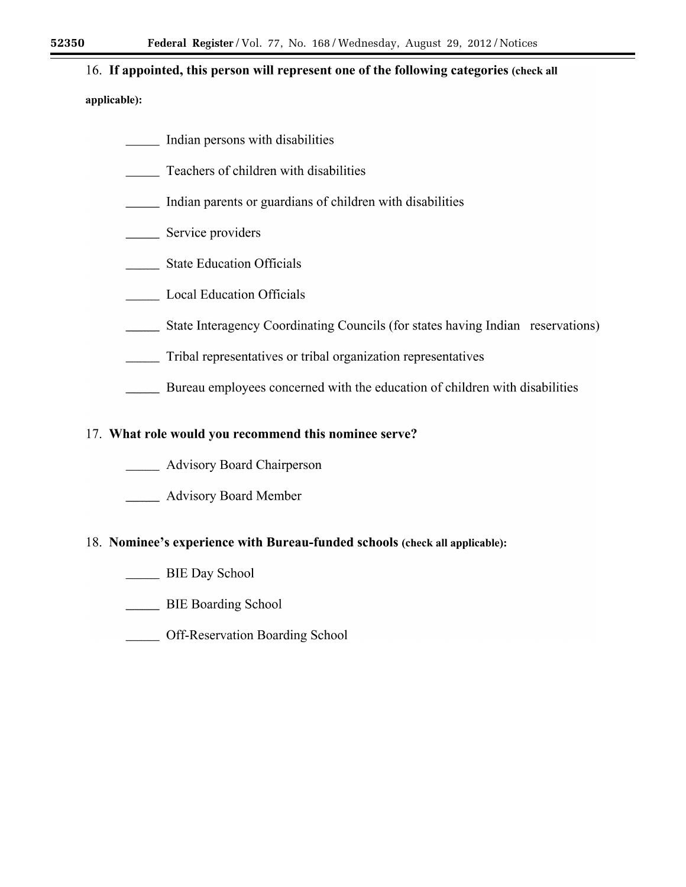# 16. If appointed, this person will represent one of the following categories (check all

# applicable):

- Indian persons with disabilities
- $\frac{1}{\sqrt{1-\frac{1}{2}}\sqrt{1-\frac{1}{2}}\sqrt{1-\frac{1}{2}}\sqrt{1-\frac{1}{2}}\sqrt{1-\frac{1}{2}}\sqrt{1-\frac{1}{2}}\sqrt{1-\frac{1}{2}}\sqrt{1-\frac{1}{2}}\sqrt{1-\frac{1}{2}}\sqrt{1-\frac{1}{2}}\sqrt{1-\frac{1}{2}}\sqrt{1-\frac{1}{2}}\sqrt{1-\frac{1}{2}}\sqrt{1-\frac{1}{2}}\sqrt{1-\frac{1}{2}}\sqrt{1-\frac{1}{2}}\sqrt{1-\frac{1}{2}}\sqrt{1-\frac{1}{2}}\sqrt{1-\frac{1}{2}}\sqrt{1-\frac$ Teachers of children with disabilities
- Indian parents or guardians of children with disabilities
- Service providers
- \_\_\_\_\_\_\_\_ State Education Officials
- \_\_\_\_\_\_\_\_ Local Education Officials
- State Interagency Coordinating Councils (for states having Indian reservations)
- $\overline{\phantom{a}}$ Tribal representatives or tribal organization representatives
- Bureau employees concerned with the education of children with disabilities

# 17. What role would you recommend this nominee serve?

- **Example 21 Advisory Board Chairperson**
- **Example 21** Advisory Board Member

# 18. Nominee's experience with Bureau-funded schools (check all applicable):

- BIE Day School
- BIE Boarding School
- Off-Reservation Boarding School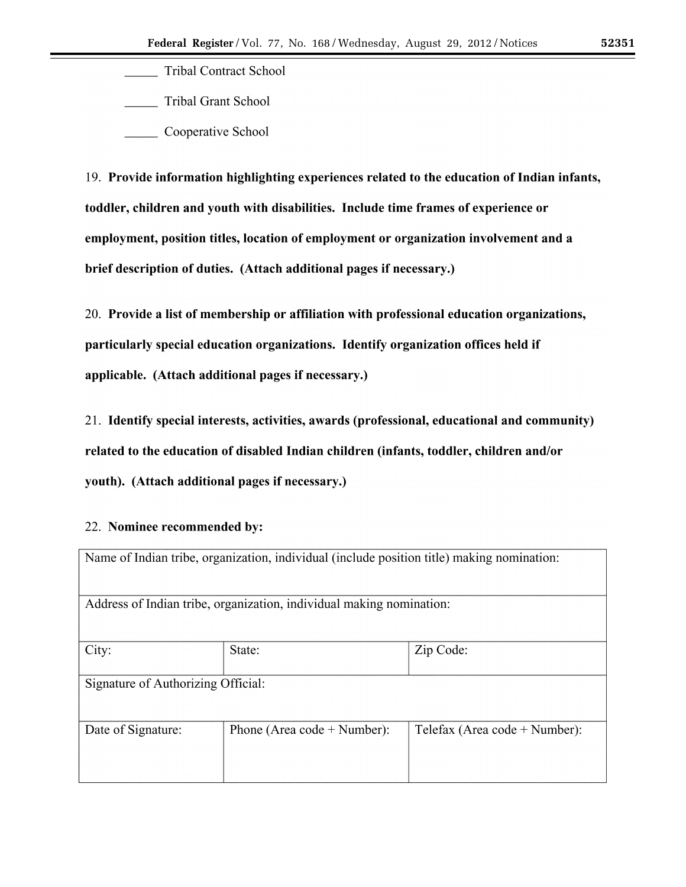**Tribal Contract School** 

**Tribal Grant School** 

Cooperative School

19. Provide information highlighting experiences related to the education of Indian infants, toddler, children and youth with disabilities. Include time frames of experience or employment, position titles, location of employment or organization involvement and a brief description of duties. (Attach additional pages if necessary.)

20. Provide a list of membership or affiliation with professional education organizations, particularly special education organizations. Identify organization offices held if applicable. (Attach additional pages if necessary.)

21. Identify special interests, activities, awards (professional, educational and community) related to the education of disabled Indian children (infants, toddler, children and/or youth). (Attach additional pages if necessary.)

# 22. Nominee recommended by:

|                                                                      | Name of Indian tribe, organization, individual (include position title) making nomination: |                                 |  |
|----------------------------------------------------------------------|--------------------------------------------------------------------------------------------|---------------------------------|--|
| Address of Indian tribe, organization, individual making nomination: |                                                                                            |                                 |  |
| City:                                                                | State:                                                                                     | Zip Code:                       |  |
| Signature of Authorizing Official:                                   |                                                                                            |                                 |  |
| Date of Signature:                                                   | Phone (Area code $+$ Number):                                                              | Telefax (Area code $+$ Number): |  |